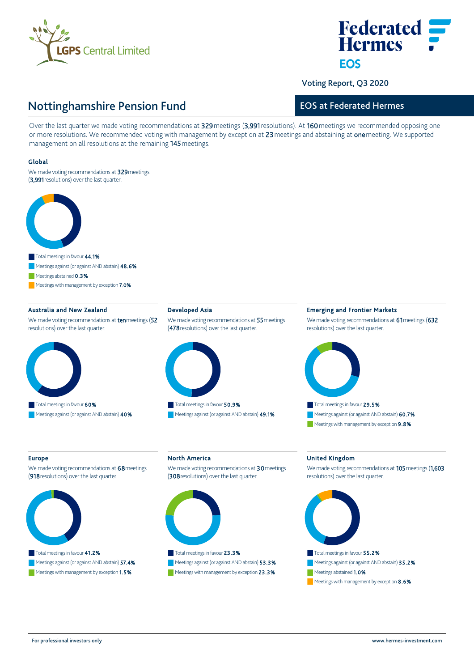

# **Federated Hermes FOS**

Voting Report, Q3 2020

## Nottinghamshire Pension Fund

## EOS at Federated Hermes

Over the last quarter we made voting recommendations at 329 meetings (3,991 resolutions). At 160 meetings we recommended opposing one or more resolutions. We recommended voting with management by exception at 23 meetings and abstaining at one meeting. We supported management on all resolutions at the remaining 145 meetings.

#### Global

We made voting recommendations at 329 meetings (3,991 resolutions) over the last quarter.



Meetings abstained 0.3%

Meetings with management by exception 7.0%

### Australia and New Zealand

We made voting recommendations at **ten** meetings (52 resolutions) over the last quarter.



## Developed Asia

We made voting recommendations at 55 meetings (478 resolutions) over the last quarter.



Meetings against (or against AND abstain) 49.1%

#### Emerging and Frontier Markets

We made voting recommendations at 61 meetings (632 resolutions) over the last quarter.



#### Europe

We made voting recommendations at 68 meetings (918 resolutions) over the last quarter.



## Total meetings in favour 41.2% Meetings against (or against AND abstain) 57.4% Meetings with management by exception 1.5%

## North America

We made voting recommendations at 30 meetings (308 resolutions) over the last quarter.



Meetings against (or against AND abstain) 53.3% Meetings with management by exception 23.3%

#### United Kingdom

We made voting recommendations at 105 meetings (1,603 resolutions) over the last quarter.